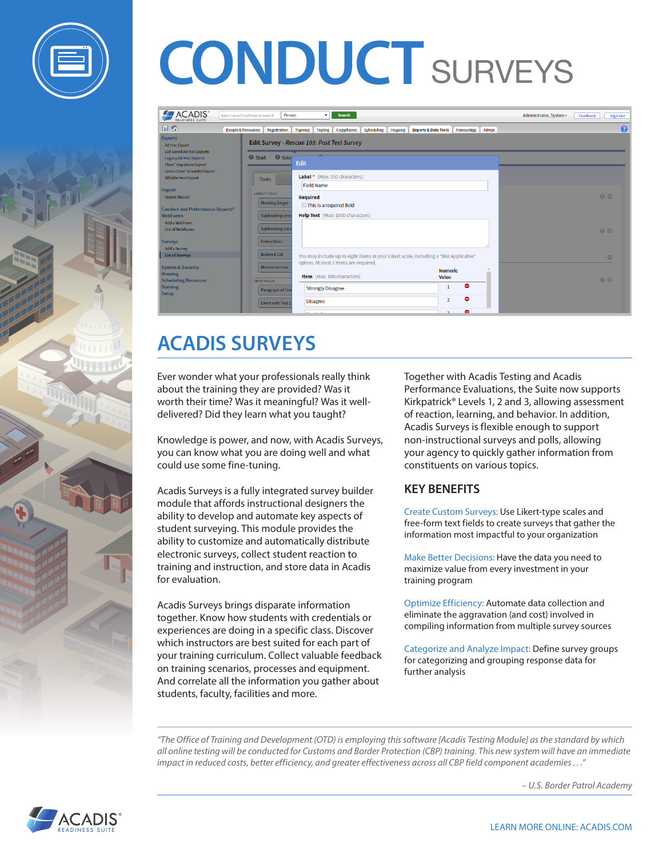



| <b>ACADIS</b><br><b>READINESS SUITE</b>                                       | Type a word or phrase to search<br>Person     | Search<br>$\mathbf{v}$                                                                                                         |                                              | Administrator, System -<br>Feedback<br><b>Sign Out</b> |
|-------------------------------------------------------------------------------|-----------------------------------------------|--------------------------------------------------------------------------------------------------------------------------------|----------------------------------------------|--------------------------------------------------------|
| 回る<br>People & Resources                                                      | Registration                                  | Scheduling<br>Housing<br><b>Training</b><br>Compliance<br><b>Testing</b>                                                       | Admin<br>Reports & Data Tools<br>Forecasting | $\bullet$                                              |
| <b>Exports</b><br><b>Ad Hoc Export</b><br><b>List Saved Ad Hoc Exports</b>    |                                               | Edit Survey - Rescue 103: Post Test Survey                                                                                     |                                              |                                                        |
| <b>Legacy Ad Hoc Exports</b><br><b>Class* Departure Export</b>                | <b>O</b> Seler<br><b>O</b> Start              | Edit                                                                                                                           |                                              |                                                        |
| Cross-Class* Gradelist Export<br><b>Billable Item Export</b>                  | <b>Tools</b>                                  | Label * (Max: 250 characters)                                                                                                  |                                              |                                                        |
| Import<br><b>Import Wizard</b>                                                | <b>LAYOUT TOOLS</b><br>Heading (large)        | <b>Field Name</b><br><b>Required</b>                                                                                           |                                              | QQ                                                     |
| <b>Conduct and Performance Reports*</b><br><b>WebForms</b>                    | <b>Subheading (med</b>                        | This is a required field<br>Help Text (Max: 1000 characters)                                                                   |                                              |                                                        |
| Add a WebForm<br><b>List of WebForms</b>                                      | <b>Subheading (sma</b>                        |                                                                                                                                |                                              | QQ                                                     |
| <b>Surveys</b><br>Add a Survey                                                | <b>Instructions</b>                           |                                                                                                                                |                                              |                                                        |
| <b>List of Surveys</b>                                                        | <b>Bulleted List</b>                          | You may include up to eight items in your Likert scale, including a "Not Applicable"<br>option. At least 2 items are required. |                                              | $\circ$                                                |
| <b>System &amp; Security</b><br><b>Housing</b><br><b>Scheduling Resources</b> | <b>Horizontal Line</b><br><b>INPUT FIELDS</b> | Item (Max: 100 characters)                                                                                                     | <b>Numeric</b><br>Value                      | QQ                                                     |
| <b>Training</b><br><b>Setup</b>                                               | Paragraph of Text                             | <b>Strongly Disagree</b>                                                                                                       | $\bullet$<br>-1                              |                                                        |
|                                                                               | Likert with Text L                            | <b>Disagree</b>                                                                                                                | ۰<br>$\overline{2}$                          |                                                        |
|                                                                               |                                               | $\cdots$                                                                                                                       | ٥<br>$\mathbf{r}$                            |                                                        |

## **ACADIS SURVEYS**

Ever wonder what your professionals really think about the training they are provided? Was it worth their time? Was it meaningful? Was it welldelivered? Did they learn what you taught?

Knowledge is power, and now, with Acadis Surveys, you can know what you are doing well and what could use some fine-tuning.

Acadis Surveys is a fully integrated survey builder module that affords instructional designers the ability to develop and automate key aspects of student surveying. This module provides the ability to customize and automatically distribute electronic surveys, collect student reaction to training and instruction, and store data in Acadis for evaluation.

Acadis Surveys brings disparate information together. Know how students with credentials or experiences are doing in a specific class. Discover which instructors are best suited for each part of your training curriculum. Collect valuable feedback on training scenarios, processes and equipment. And correlate all the information you gather about students, faculty, facilities and more.

Together with Acadis Testing and Acadis Performance Evaluations, the Suite now supports Kirkpatrick® Levels 1, 2 and 3, allowing assessment of reaction, learning, and behavior. In addition, Acadis Surveys is flexible enough to support non-instructional surveys and polls, allowing your agency to quickly gather information from constituents on various topics.

#### **KEY BENEFITS**

Create Custom Surveys: Use Likert-type scales and free-form text fields to create surveys that gather the information most impactful to your organization

Make Better Decisions: Have the data you need to maximize value from every investment in your training program

Optimize Efficiency: Automate data collection and eliminate the aggravation (and cost) involved in compiling information from multiple survey sources

Categorize and Analyze Impact: Define survey groups for categorizing and grouping response data for further analysis

*"The Office of Training and Development (OTD) is employing this software [Acadis Testing Module] as the standard by which all online testing will be conducted for Customs and Border Protection (CBP) training. This new system will have an immediate impact in reduced costs, better efficiency, and greater effectiveness across all CBP field component academies . . ."*